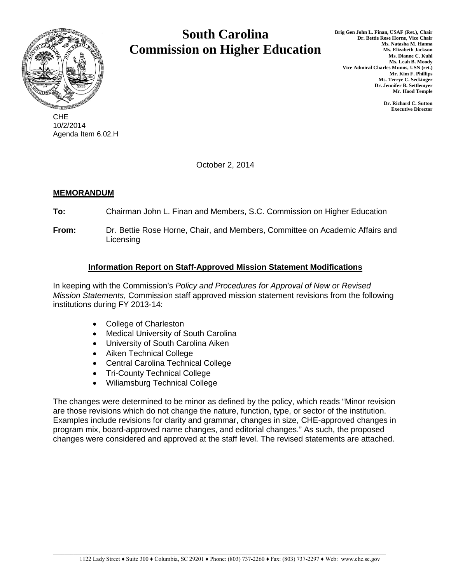

CHE 10/2/2014 Agenda Item 6.02.H

# **South Carolina Commission on Higher Education**

**Dr. Richard C. Sutton Executive Director**

October 2, 2014

# **MEMORANDUM**

**To:** Chairman John L. Finan and Members, S.C. Commission on Higher Education

**From:** Dr. Bettie Rose Horne, Chair, and Members, Committee on Academic Affairs and **Licensing** 

# **Information Report on Staff-Approved Mission Statement Modifications**

In keeping with the Commission's *Policy and Procedures for Approval of New or Revised Mission Statements*, Commission staff approved mission statement revisions from the following institutions during FY 2013-14:

- College of Charleston
- Medical University of South Carolina
- University of South Carolina Aiken
- Aiken Technical College
- Central Carolina Technical College
- Tri-County Technical College
- Wiliamsburg Technical College

The changes were determined to be minor as defined by the policy, which reads "Minor revision are those revisions which do not change the nature, function, type, or sector of the institution. Examples include revisions for clarity and grammar, changes in size, CHE-approved changes in program mix, board-approved name changes, and editorial changes." As such, the proposed changes were considered and approved at the staff level. The revised statements are attached.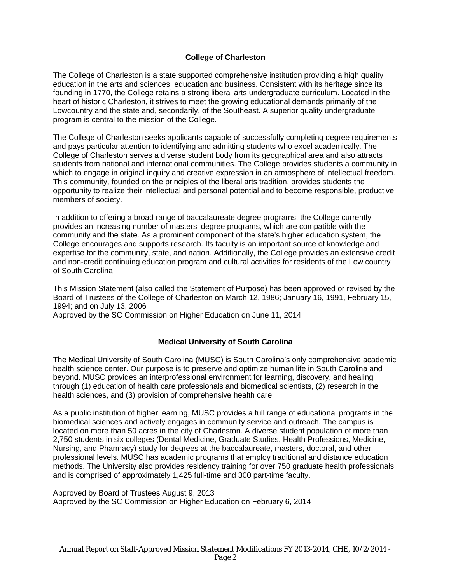## **College of Charleston**

The College of Charleston is a state supported comprehensive institution providing a high quality education in the arts and sciences, education and business. Consistent with its heritage since its founding in 1770, the College retains a strong liberal arts undergraduate curriculum. Located in the heart of historic Charleston, it strives to meet the growing educational demands primarily of the Lowcountry and the state and, secondarily, of the Southeast. A superior quality undergraduate program is central to the mission of the College.

The College of Charleston seeks applicants capable of successfully completing degree requirements and pays particular attention to identifying and admitting students who excel academically. The College of Charleston serves a diverse student body from its geographical area and also attracts students from national and international communities. The College provides students a community in which to engage in original inquiry and creative expression in an atmosphere of intellectual freedom. This community, founded on the principles of the liberal arts tradition, provides students the opportunity to realize their intellectual and personal potential and to become responsible, productive members of society.

In addition to offering a broad range of baccalaureate degree programs, the College currently provides an increasing number of masters' degree programs, which are compatible with the community and the state. As a prominent component of the state's higher education system, the College encourages and supports research. Its faculty is an important source of knowledge and expertise for the community, state, and nation. Additionally, the College provides an extensive credit and non-credit continuing education program and cultural activities for residents of the Low country of South Carolina.

This Mission Statement (also called the Statement of Purpose) has been approved or revised by the Board of Trustees of the College of Charleston on March 12, 1986; January 16, 1991, February 15, 1994; and on July 13, 2006

Approved by the SC Commission on Higher Education on June 11, 2014

#### **Medical University of South Carolina**

The Medical University of South Carolina (MUSC) is South Carolina's only comprehensive academic health science center. Our purpose is to preserve and optimize human life in South Carolina and beyond. MUSC provides an interprofessional environment for learning, discovery, and healing through (1) education of health care professionals and biomedical scientists, (2) research in the health sciences, and (3) provision of comprehensive health care

As a public institution of higher learning, MUSC provides a full range of educational programs in the biomedical sciences and actively engages in community service and outreach. The campus is located on more than 50 acres in the city of Charleston. A diverse student population of more than 2,750 students in six colleges (Dental Medicine, Graduate Studies, Health Professions, Medicine, Nursing, and Pharmacy) study for degrees at the baccalaureate, masters, doctoral, and other professional levels. MUSC has academic programs that employ traditional and distance education methods. The University also provides residency training for over 750 graduate health professionals and is comprised of approximately 1,425 full-time and 300 part-time faculty.

Approved by Board of Trustees August 9, 2013 Approved by the SC Commission on Higher Education on February 6, 2014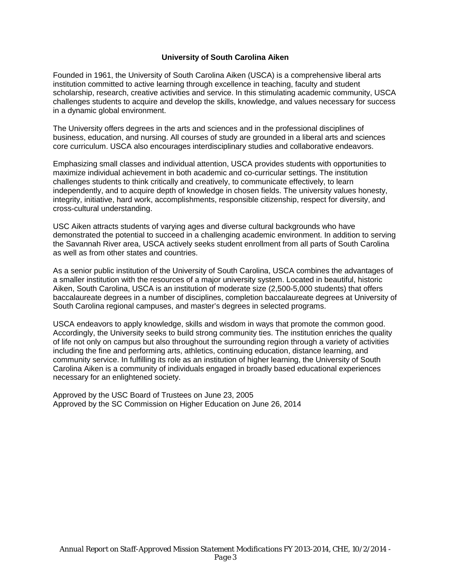#### **University of South Carolina Aiken**

Founded in 1961, the University of South Carolina Aiken (USCA) is a comprehensive liberal arts institution committed to active learning through excellence in teaching, faculty and student scholarship, research, creative activities and service. In this stimulating academic community, USCA challenges students to acquire and develop the skills, knowledge, and values necessary for success in a dynamic global environment.

The University offers degrees in the arts and sciences and in the professional disciplines of business, education, and nursing. All courses of study are grounded in a liberal arts and sciences core curriculum. USCA also encourages interdisciplinary studies and collaborative endeavors.

Emphasizing small classes and individual attention, USCA provides students with opportunities to maximize individual achievement in both academic and co-curricular settings. The institution challenges students to think critically and creatively, to communicate effectively, to learn independently, and to acquire depth of knowledge in chosen fields. The university values honesty, integrity, initiative, hard work, accomplishments, responsible citizenship, respect for diversity, and cross-cultural understanding.

USC Aiken attracts students of varying ages and diverse cultural backgrounds who have demonstrated the potential to succeed in a challenging academic environment. In addition to serving the Savannah River area, USCA actively seeks student enrollment from all parts of South Carolina as well as from other states and countries.

As a senior public institution of the University of South Carolina, USCA combines the advantages of a smaller institution with the resources of a major university system. Located in beautiful, historic Aiken, South Carolina, USCA is an institution of moderate size (2,500-5,000 students) that offers baccalaureate degrees in a number of disciplines, completion baccalaureate degrees at University of South Carolina regional campuses, and master's degrees in selected programs.

USCA endeavors to apply knowledge, skills and wisdom in ways that promote the common good. Accordingly, the University seeks to build strong community ties. The institution enriches the quality of life not only on campus but also throughout the surrounding region through a variety of activities including the fine and performing arts, athletics, continuing education, distance learning, and community service. In fulfilling its role as an institution of higher learning, the University of South Carolina Aiken is a community of individuals engaged in broadly based educational experiences necessary for an enlightened society.

Approved by the USC Board of Trustees on June 23, 2005 Approved by the SC Commission on Higher Education on June 26, 2014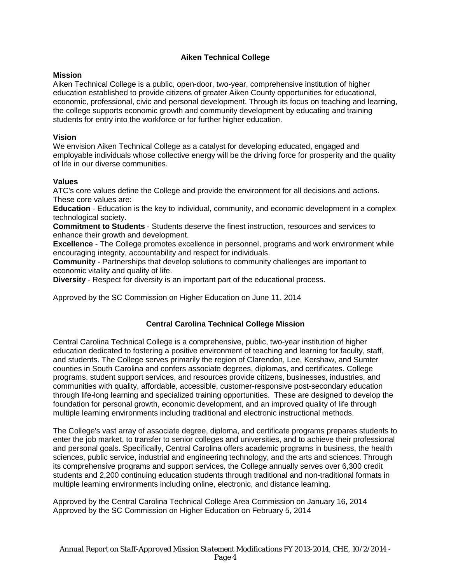## **Aiken Technical College**

#### **Mission**

Aiken Technical College is a public, open-door, two-year, comprehensive institution of higher education established to provide citizens of greater Aiken County opportunities for educational, economic, professional, civic and personal development. Through its focus on teaching and learning, the college supports economic growth and community development by educating and training students for entry into the workforce or for further higher education.

#### **Vision**

We envision Aiken Technical College as a catalyst for developing educated, engaged and employable individuals whose collective energy will be the driving force for prosperity and the quality of life in our diverse communities.

#### **Values**

ATC's core values define the College and provide the environment for all decisions and actions. These core values are:

**Education** - Education is the key to individual, community, and economic development in a complex technological society.

**Commitment to Students** - Students deserve the finest instruction, resources and services to enhance their growth and development.

**Excellence** - The College promotes excellence in personnel, programs and work environment while encouraging integrity, accountability and respect for individuals.

**Community** - Partnerships that develop solutions to community challenges are important to economic vitality and quality of life.

**Diversity** - Respect for diversity is an important part of the educational process.

Approved by the SC Commission on Higher Education on June 11, 2014

#### **Central Carolina Technical College Mission**

Central Carolina Technical College is a comprehensive, public, two-year institution of higher education dedicated to fostering a positive environment of teaching and learning for faculty, staff, and students. The College serves primarily the region of Clarendon, Lee, Kershaw, and Sumter counties in South Carolina and confers associate degrees, diplomas, and certificates. College programs, student support services, and resources provide citizens, businesses, industries, and communities with quality, affordable, accessible, customer-responsive post-secondary education through life-long learning and specialized training opportunities. These are designed to develop the foundation for personal growth, economic development, and an improved quality of life through multiple learning environments including traditional and electronic instructional methods.

The College's vast array of associate degree, diploma, and certificate programs prepares students to enter the job market, to transfer to senior colleges and universities, and to achieve their professional and personal goals. Specifically, Central Carolina offers academic programs in business, the health sciences, public service, industrial and engineering technology, and the arts and sciences. Through its comprehensive programs and support services, the College annually serves over 6,300 credit students and 2,200 continuing education students through traditional and non-traditional formats in multiple learning environments including online, electronic, and distance learning.

Approved by the Central Carolina Technical College Area Commission on January 16, 2014 Approved by the SC Commission on Higher Education on February 5, 2014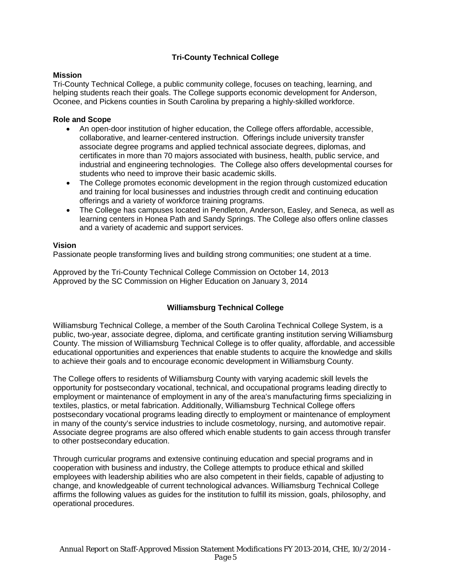## **Tri-County Technical College**

#### **Mission**

Tri-County Technical College, a public community college, focuses on teaching, learning, and helping students reach their goals. The College supports economic development for Anderson, Oconee, and Pickens counties in South Carolina by preparing a highly-skilled workforce.

#### **Role and Scope**

- An open-door institution of higher education, the College offers affordable, accessible, collaborative, and learner-centered instruction. Offerings include university transfer associate degree programs and applied technical associate degrees, diplomas, and certificates in more than 70 majors associated with business, health, public service, and industrial and engineering technologies. The College also offers developmental courses for students who need to improve their basic academic skills.
- The College promotes economic development in the region through customized education and training for local businesses and industries through credit and continuing education offerings and a variety of workforce training programs.
- The College has campuses located in Pendleton, Anderson, Easley, and Seneca, as well as learning centers in Honea Path and Sandy Springs. The College also offers online classes and a variety of academic and support services.

## **Vision**

Passionate people transforming lives and building strong communities; one student at a time.

Approved by the Tri-County Technical College Commission on October 14, 2013 Approved by the SC Commission on Higher Education on January 3, 2014

## **Williamsburg Technical College**

Williamsburg Technical College, a member of the South Carolina Technical College System, is a public, two-year, associate degree, diploma, and certificate granting institution serving Williamsburg County. The mission of Williamsburg Technical College is to offer quality, affordable, and accessible educational opportunities and experiences that enable students to acquire the knowledge and skills to achieve their goals and to encourage economic development in Williamsburg County.

The College offers to residents of Williamsburg County with varying academic skill levels the opportunity for postsecondary vocational, technical, and occupational programs leading directly to employment or maintenance of employment in any of the area's manufacturing firms specializing in textiles, plastics, or metal fabrication. Additionally, Williamsburg Technical College offers postsecondary vocational programs leading directly to employment or maintenance of employment in many of the county's service industries to include cosmetology, nursing, and automotive repair. Associate degree programs are also offered which enable students to gain access through transfer to other postsecondary education.

Through curricular programs and extensive continuing education and special programs and in cooperation with business and industry, the College attempts to produce ethical and skilled employees with leadership abilities who are also competent in their fields, capable of adjusting to change, and knowledgeable of current technological advances. Williamsburg Technical College affirms the following values as guides for the institution to fulfill its mission, goals, philosophy, and operational procedures.